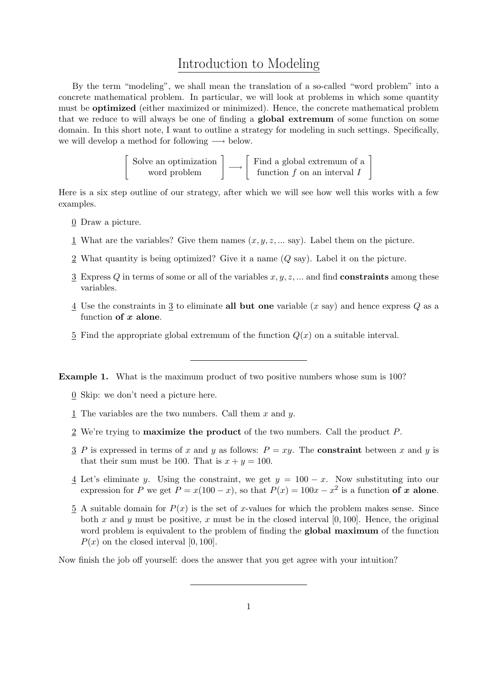## Introduction to Modeling

By the term "modeling", we shall mean the translation of a so-called "word problem" into a concrete mathematical problem. In particular, we will look at problems in which some quantity must be optimized (either maximized or minimized). Hence, the concrete mathematical problem that we reduce to will always be one of finding a global extremum of some function on some domain. In this short note, I want to outline a strategy for modeling in such settings. Specifically, we will develop a method for following  $\longrightarrow$  below.

Solve an optimization  
word problem\n
$$
\begin{bmatrix}\n\text{Solve an optimization} \\
\text{word problem}\n\end{bmatrix}\n\longrightarrow\n\begin{bmatrix}\n\text{Find a global extremum of a function } f \text{ on an interval } I\n\end{bmatrix}
$$

1

Here is a six step outline of our strategy, after which we will see how well this works with a few examples.

- 0 Draw a picture.
- 1 What are the variables? Give them names  $(x, y, z, \dots \text{ say})$ . Label them on the picture.
- 2 What quantity is being optimized? Give it a name (Q say). Label it on the picture.
- $\overline{3}$  Express Q in terms of some or all of the variables x, y, z, ... and find **constraints** among these variables.
- $\frac{4}{3}$  Use the constraints in  $\frac{3}{3}$  to eliminate all but one variable (x say) and hence express Q as a function of  $x$  alone.
- 5 Find the appropriate global extremum of the function  $Q(x)$  on a suitable interval.

Example 1. What is the maximum product of two positive numbers whose sum is 100?

- $\underline{0}$  Skip: we don't need a picture here.
- 1 The variables are the two numbers. Call them  $x$  and  $y$ .
- 2 We're trying to maximize the product of the two numbers. Call the product P.
- 3 P is expressed in terms of x and y as follows:  $P = xy$ . The **constraint** between x and y is that their sum must be 100. That is  $x + y = 100$ .
- $\frac{4}{9}$  Let's eliminate y. Using the constraint, we get  $y = 100 x$ . Now substituting into our expression for P we get  $P = x(100 - x)$ , so that  $P(x) = 100x - x^2$  is a function of x alone.
- $\overline{5}$  A suitable domain for  $P(x)$  is the set of x-values for which the problem makes sense. Since both x and y must be positive, x must be in the closed interval  $[0, 100]$ . Hence, the original word problem is equivalent to the problem of finding the **global maximum** of the function  $P(x)$  on the closed interval [0, 100].

Now finish the job off yourself: does the answer that you get agree with your intuition?